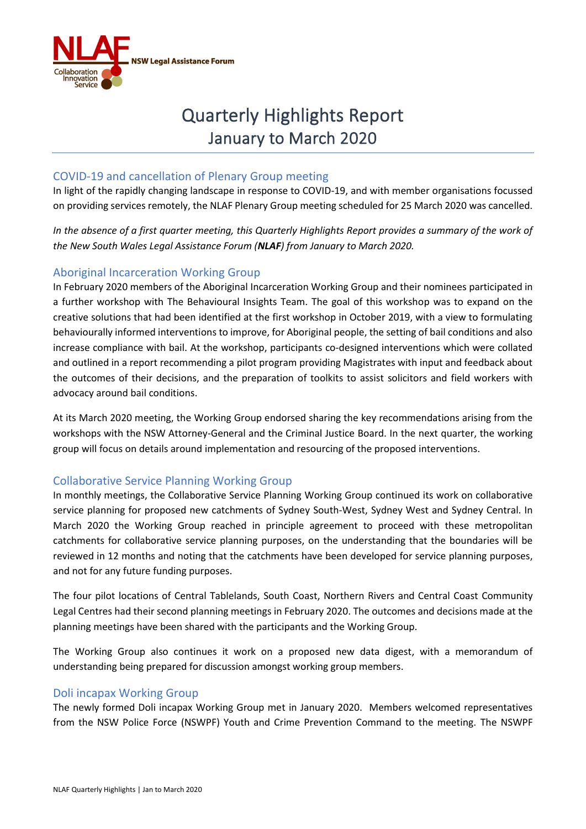

# Quarterly Highlights Report January to March 2020

## COVID-19 and cancellation of Plenary Group meeting

In light of the rapidly changing landscape in response to COVID-19, and with member organisations focussed on providing services remotely, the NLAF Plenary Group meeting scheduled for 25 March 2020 was cancelled.

*In the absence of a first quarter meeting, this Quarterly Highlights Report provides a summary of the work of the New South Wales Legal Assistance Forum (NLAF) from January to March 2020.* 

# Aboriginal Incarceration Working Group

In February 2020 members of the Aboriginal Incarceration Working Group and their nominees participated in a further workshop with The Behavioural Insights Team. The goal of this workshop was to expand on the creative solutions that had been identified at the first workshop in October 2019, with a view to formulating behaviourally informed interventions to improve, for Aboriginal people, the setting of bail conditions and also increase compliance with bail. At the workshop, participants co-designed interventions which were collated and outlined in a report recommending a pilot program providing Magistrates with input and feedback about the outcomes of their decisions, and the preparation of toolkits to assist solicitors and field workers with advocacy around bail conditions.

At its March 2020 meeting, the Working Group endorsed sharing the key recommendations arising from the workshops with the NSW Attorney-General and the Criminal Justice Board. In the next quarter, the working group will focus on details around implementation and resourcing of the proposed interventions.

#### Collaborative Service Planning Working Group

In monthly meetings, the Collaborative Service Planning Working Group continued its work on collaborative service planning for proposed new catchments of Sydney South-West, Sydney West and Sydney Central. In March 2020 the Working Group reached in principle agreement to proceed with these metropolitan catchments for collaborative service planning purposes, on the understanding that the boundaries will be reviewed in 12 months and noting that the catchments have been developed for service planning purposes, and not for any future funding purposes.

The four pilot locations of Central Tablelands, South Coast, Northern Rivers and Central Coast Community Legal Centres had their second planning meetings in February 2020. The outcomes and decisions made at the planning meetings have been shared with the participants and the Working Group.

The Working Group also continues it work on a proposed new data digest, with a memorandum of understanding being prepared for discussion amongst working group members.

#### Doli incapax Working Group

The newly formed Doli incapax Working Group met in January 2020. Members welcomed representatives from the NSW Police Force (NSWPF) Youth and Crime Prevention Command to the meeting. The NSWPF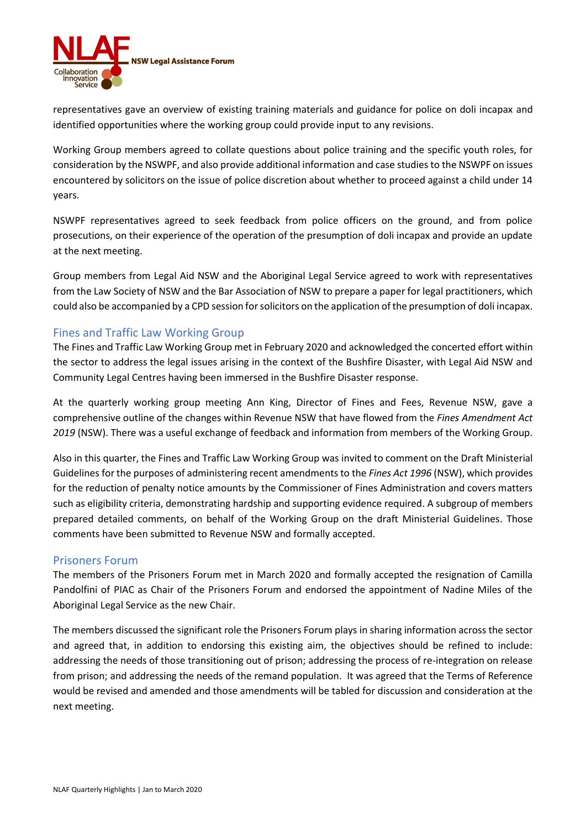

representatives gave an overview of existing training materials and guidance for police on doli incapax and identified opportunities where the working group could provide input to any revisions.

Working Group members agreed to collate questions about police training and the specific youth roles, for consideration by the NSWPF, and also provide additional information and case studies to the NSWPF on issues encountered by solicitors on the issue of police discretion about whether to proceed against a child under 14 years.

NSWPF representatives agreed to seek feedback from police officers on the ground, and from police prosecutions, on their experience of the operation of the presumption of doli incapax and provide an update at the next meeting.

Group members from Legal Aid NSW and the Aboriginal Legal Service agreed to work with representatives from the Law Society of NSW and the Bar Association of NSW to prepare a paper for legal practitioners, which could also be accompanied by a CPD session for solicitors on the application of the presumption of doli incapax.

## Fines and Traffic Law Working Group

The Fines and Traffic Law Working Group met in February 2020 and acknowledged the concerted effort within the sector to address the legal issues arising in the context of the Bushfire Disaster, with Legal Aid NSW and Community Legal Centres having been immersed in the Bushfire Disaster response.

At the quarterly working group meeting Ann King, Director of Fines and Fees, Revenue NSW, gave a comprehensive outline of the changes within Revenue NSW that have flowed from the *Fines Amendment Act 2019* (NSW). There was a useful exchange of feedback and information from members of the Working Group.

Also in this quarter, the Fines and Traffic Law Working Group was invited to comment on the Draft Ministerial Guidelines for the purposes of administering recent amendments to the *Fines Act 1996* (NSW), which provides for the reduction of penalty notice amounts by the Commissioner of Fines Administration and covers matters such as eligibility criteria, demonstrating hardship and supporting evidence required. A subgroup of members prepared detailed comments, on behalf of the Working Group on the draft Ministerial Guidelines. Those comments have been submitted to Revenue NSW and formally accepted.

#### Prisoners Forum

The members of the Prisoners Forum met in March 2020 and formally accepted the resignation of Camilla Pandolfini of PIAC as Chair of the Prisoners Forum and endorsed the appointment of Nadine Miles of the Aboriginal Legal Service as the new Chair.

The members discussed the significant role the Prisoners Forum plays in sharing information across the sector and agreed that, in addition to endorsing this existing aim, the objectives should be refined to include: addressing the needs of those transitioning out of prison; addressing the process of re-integration on release from prison; and addressing the needs of the remand population. It was agreed that the Terms of Reference would be revised and amended and those amendments will be tabled for discussion and consideration at the next meeting.